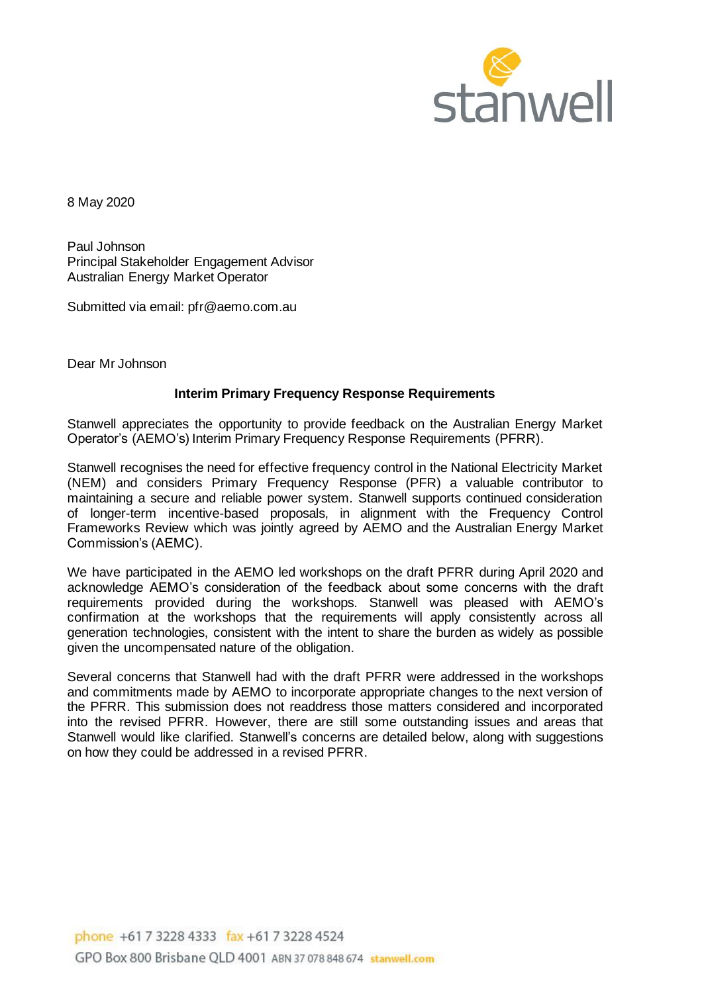

8 May 2020

Paul Johnson Principal Stakeholder Engagement Advisor Australian Energy Market Operator

Submitted via email: pfr@aemo.com.au

Dear Mr Johnson

# **Interim Primary Frequency Response Requirements**

Stanwell appreciates the opportunity to provide feedback on the Australian Energy Market Operator's (AEMO's) Interim Primary Frequency Response Requirements (PFRR).

Stanwell recognises the need for effective frequency control in the National Electricity Market (NEM) and considers Primary Frequency Response (PFR) a valuable contributor to maintaining a secure and reliable power system. Stanwell supports continued consideration of longer-term incentive-based proposals, in alignment with the Frequency Control Frameworks Review which was jointly agreed by AEMO and the Australian Energy Market Commission's (AEMC).

We have participated in the AEMO led workshops on the draft PFRR during April 2020 and acknowledge AEMO's consideration of the feedback about some concerns with the draft requirements provided during the workshops. Stanwell was pleased with AEMO's confirmation at the workshops that the requirements will apply consistently across all generation technologies, consistent with the intent to share the burden as widely as possible given the uncompensated nature of the obligation.

Several concerns that Stanwell had with the draft PFRR were addressed in the workshops and commitments made by AEMO to incorporate appropriate changes to the next version of the PFRR. This submission does not readdress those matters considered and incorporated into the revised PFRR. However, there are still some outstanding issues and areas that Stanwell would like clarified. Stanwell's concerns are detailed below, along with suggestions on how they could be addressed in a revised PFRR.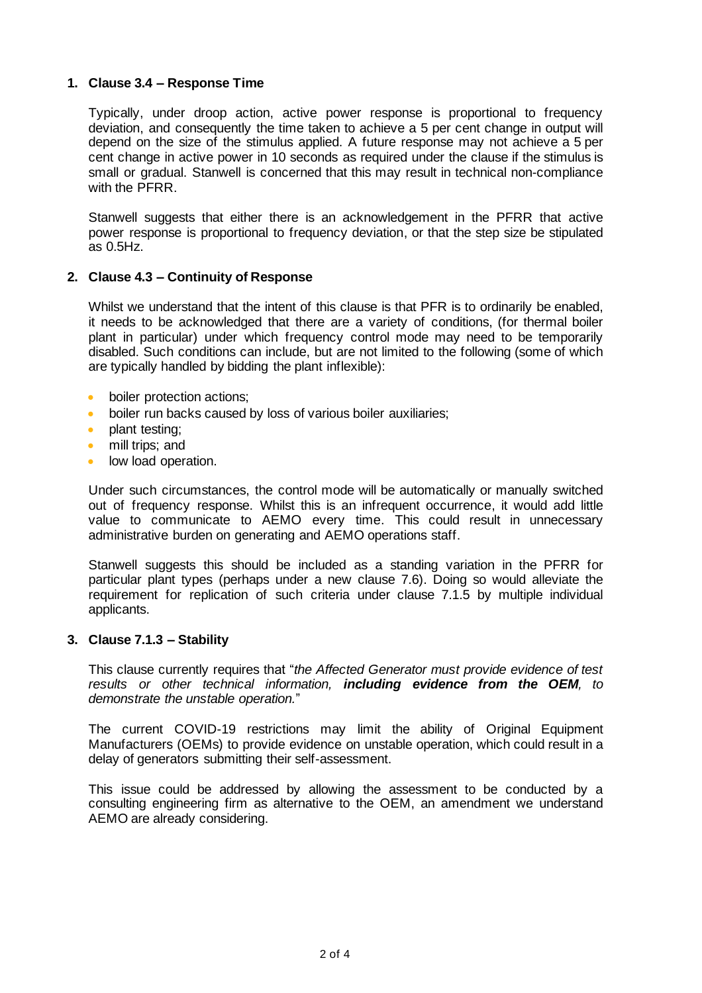# **1. Clause 3.4 – Response Time**

Typically, under droop action, active power response is proportional to frequency deviation, and consequently the time taken to achieve a 5 per cent change in output will depend on the size of the stimulus applied. A future response may not achieve a 5 per cent change in active power in 10 seconds as required under the clause if the stimulus is small or gradual. Stanwell is concerned that this may result in technical non-compliance with the PFRR.

Stanwell suggests that either there is an acknowledgement in the PFRR that active power response is proportional to frequency deviation, or that the step size be stipulated as 0.5Hz.

# **2. Clause 4.3 – Continuity of Response**

Whilst we understand that the intent of this clause is that PFR is to ordinarily be enabled, it needs to be acknowledged that there are a variety of conditions, (for thermal boiler plant in particular) under which frequency control mode may need to be temporarily disabled. Such conditions can include, but are not limited to the following (some of which are typically handled by bidding the plant inflexible):

- boiler protection actions:
- boiler run backs caused by loss of various boiler auxiliaries;
- plant testing;
- mill trips; and
- low load operation.

Under such circumstances, the control mode will be automatically or manually switched out of frequency response. Whilst this is an infrequent occurrence, it would add little value to communicate to AEMO every time. This could result in unnecessary administrative burden on generating and AEMO operations staff.

Stanwell suggests this should be included as a standing variation in the PFRR for particular plant types (perhaps under a new clause 7.6). Doing so would alleviate the requirement for replication of such criteria under clause 7.1.5 by multiple individual applicants.

# **3. Clause 7.1.3 – Stability**

This clause currently requires that "*the Affected Generator must provide evidence of test results or other technical information, including evidence from the OEM, to demonstrate the unstable operation.*"

The current COVID-19 restrictions may limit the ability of Original Equipment Manufacturers (OEMs) to provide evidence on unstable operation, which could result in a delay of generators submitting their self-assessment.

This issue could be addressed by allowing the assessment to be conducted by a consulting engineering firm as alternative to the OEM, an amendment we understand AEMO are already considering.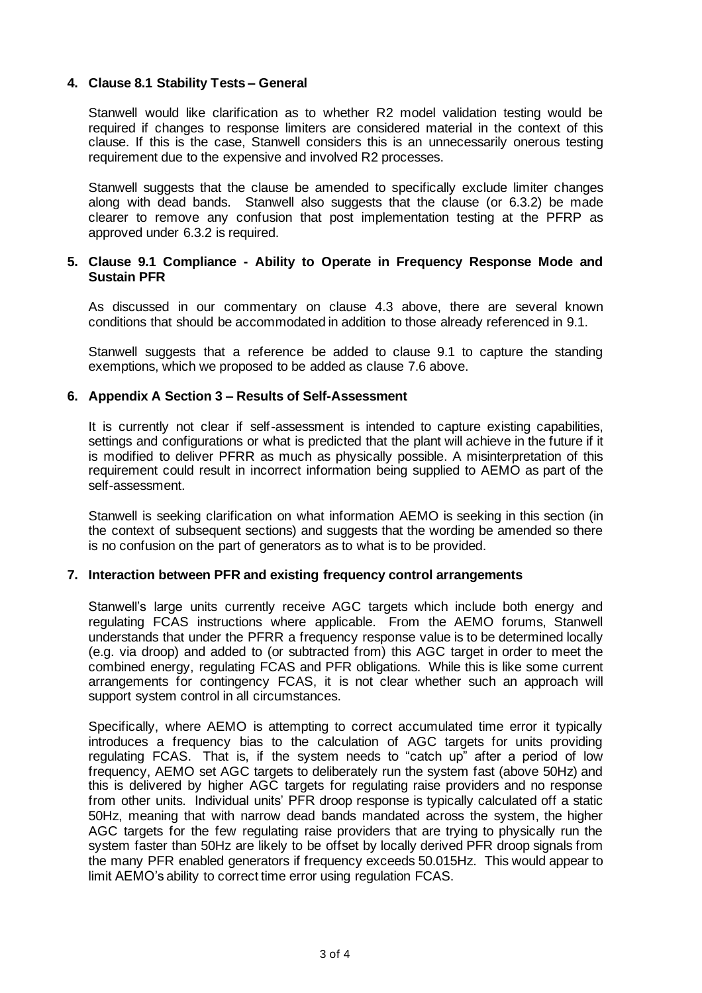# **4. Clause 8.1 Stability Tests – General**

Stanwell would like clarification as to whether R2 model validation testing would be required if changes to response limiters are considered material in the context of this clause. If this is the case, Stanwell considers this is an unnecessarily onerous testing requirement due to the expensive and involved R2 processes.

Stanwell suggests that the clause be amended to specifically exclude limiter changes along with dead bands. Stanwell also suggests that the clause (or 6.3.2) be made clearer to remove any confusion that post implementation testing at the PFRP as approved under 6.3.2 is required.

#### **5. Clause 9.1 Compliance - Ability to Operate in Frequency Response Mode and Sustain PFR**

As discussed in our commentary on clause 4.3 above, there are several known conditions that should be accommodated in addition to those already referenced in 9.1.

Stanwell suggests that a reference be added to clause 9.1 to capture the standing exemptions, which we proposed to be added as clause 7.6 above.

#### **6. Appendix A Section 3 – Results of Self-Assessment**

It is currently not clear if self-assessment is intended to capture existing capabilities, settings and configurations or what is predicted that the plant will achieve in the future if it is modified to deliver PFRR as much as physically possible. A misinterpretation of this requirement could result in incorrect information being supplied to AEMO as part of the self-assessment.

Stanwell is seeking clarification on what information AEMO is seeking in this section (in the context of subsequent sections) and suggests that the wording be amended so there is no confusion on the part of generators as to what is to be provided.

#### **7. Interaction between PFR and existing frequency control arrangements**

Stanwell's large units currently receive AGC targets which include both energy and regulating FCAS instructions where applicable. From the AEMO forums, Stanwell understands that under the PFRR a frequency response value is to be determined locally (e.g. via droop) and added to (or subtracted from) this AGC target in order to meet the combined energy, regulating FCAS and PFR obligations. While this is like some current arrangements for contingency FCAS, it is not clear whether such an approach will support system control in all circumstances.

Specifically, where AEMO is attempting to correct accumulated time error it typically introduces a frequency bias to the calculation of AGC targets for units providing regulating FCAS. That is, if the system needs to "catch up" after a period of low frequency, AEMO set AGC targets to deliberately run the system fast (above 50Hz) and this is delivered by higher AGC targets for regulating raise providers and no response from other units. Individual units' PFR droop response is typically calculated off a static 50Hz, meaning that with narrow dead bands mandated across the system, the higher AGC targets for the few regulating raise providers that are trying to physically run the system faster than 50Hz are likely to be offset by locally derived PFR droop signals from the many PFR enabled generators if frequency exceeds 50.015Hz. This would appear to limit AEMO's ability to correct time error using regulation FCAS.